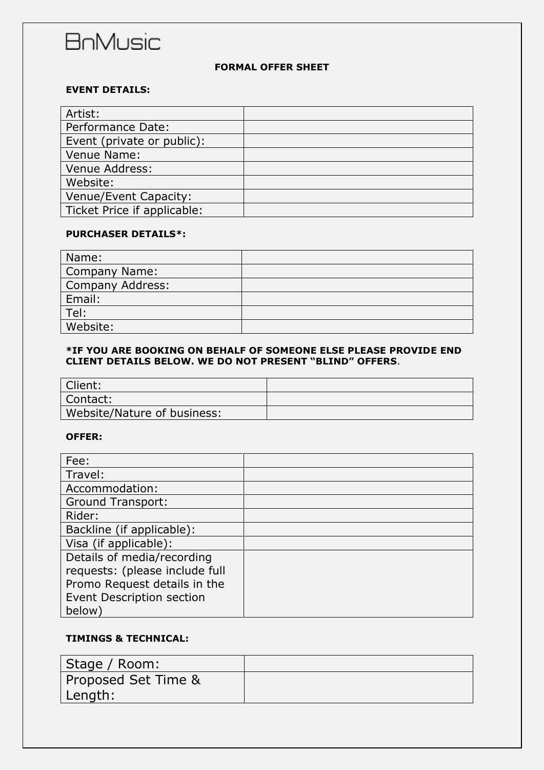# **BnMusic**

## **FORMAL OFFER SHEET**

### **EVENT DETAILS:**

| Artist:                     |  |
|-----------------------------|--|
| Performance Date:           |  |
| Event (private or public):  |  |
| Venue Name:                 |  |
| Venue Address:              |  |
| Website:                    |  |
| Venue/Event Capacity:       |  |
| Ticket Price if applicable: |  |

### **PURCHASER DETAILS\*:**

| Name:                   |  |
|-------------------------|--|
| <b>Company Name:</b>    |  |
| <b>Company Address:</b> |  |
| Email:                  |  |
| Tel:                    |  |
| Website:                |  |

#### **\*IF YOU ARE BOOKING ON BEHALF OF SOMEONE ELSE PLEASE PROVIDE END CLIENT DETAILS BELOW. WE DO NOT PRESENT "BLIND" OFFERS**.

| Client:                     |  |
|-----------------------------|--|
| Contact:                    |  |
| Website/Nature of business: |  |

#### **OFFER:**

| Fee:                           |  |
|--------------------------------|--|
| Travel:                        |  |
| Accommodation:                 |  |
| <b>Ground Transport:</b>       |  |
| Rider:                         |  |
| Backline (if applicable):      |  |
| Visa (if applicable):          |  |
| Details of media/recording     |  |
| requests: (please include full |  |
| Promo Request details in the   |  |
| Event Description section      |  |
| below)                         |  |

## **TIMINGS & TECHNICAL:**

| Stage / Room:       |  |
|---------------------|--|
| Proposed Set Time & |  |
| Length:             |  |